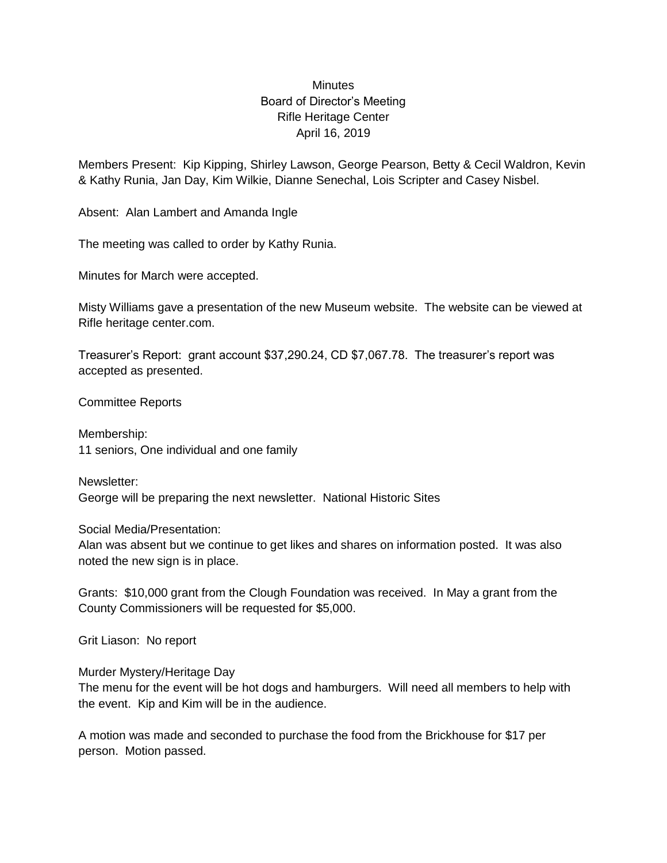## Minutes Board of Director's Meeting Rifle Heritage Center April 16, 2019

Members Present: Kip Kipping, Shirley Lawson, George Pearson, Betty & Cecil Waldron, Kevin & Kathy Runia, Jan Day, Kim Wilkie, Dianne Senechal, Lois Scripter and Casey Nisbel.

Absent: Alan Lambert and Amanda Ingle

The meeting was called to order by Kathy Runia.

Minutes for March were accepted.

Misty Williams gave a presentation of the new Museum website. The website can be viewed at Rifle heritage center.com.

Treasurer's Report: grant account \$37,290.24, CD \$7,067.78. The treasurer's report was accepted as presented.

Committee Reports

Membership: 11 seniors, One individual and one family

Newsletter: George will be preparing the next newsletter. National Historic Sites

Social Media/Presentation:

Alan was absent but we continue to get likes and shares on information posted. It was also noted the new sign is in place.

Grants: \$10,000 grant from the Clough Foundation was received. In May a grant from the County Commissioners will be requested for \$5,000.

Grit Liason: No report

Murder Mystery/Heritage Day

The menu for the event will be hot dogs and hamburgers. Will need all members to help with the event. Kip and Kim will be in the audience.

A motion was made and seconded to purchase the food from the Brickhouse for \$17 per person. Motion passed.